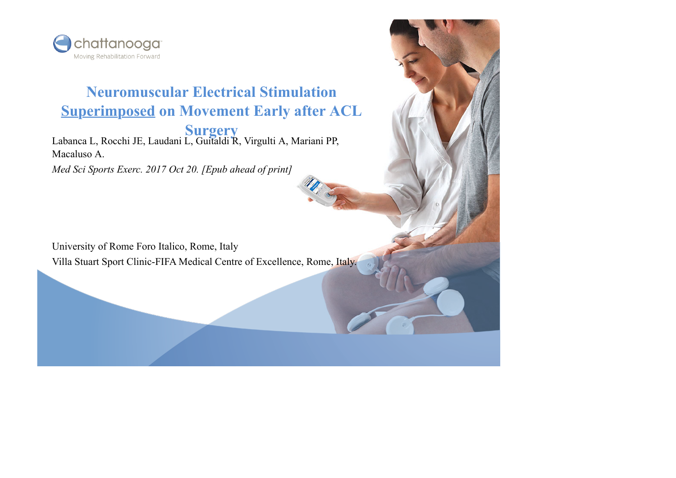

#### **Neuromuscular Electrical Stimulation Superimposed on Movement Early after ACL**

**Surgery** Labanca L, Rocchi JE, Laudani L, Guitaldi R, Virgulti A, Mariani PP, Macaluso A.

*Med Sci Sports Exerc. 2017 Oct 20. [Epub ahead of print]*

University of Rome Foro Italico, Rome, Italy Villa Stuart Sport Clinic-FIFA Medical Centre of Excellence, Rome, Italy.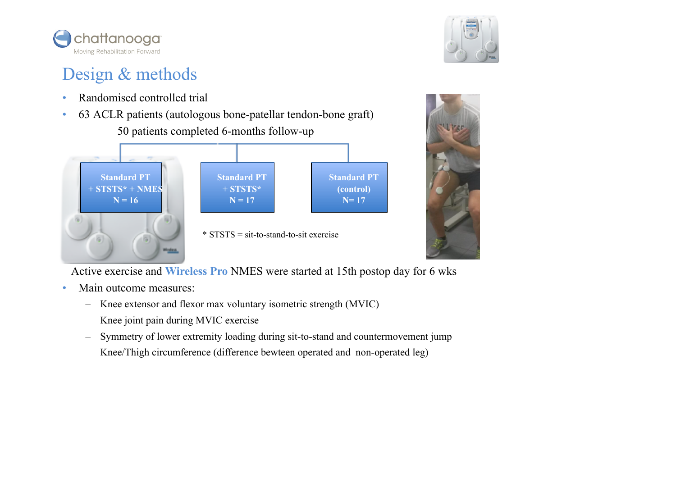

# Design & methods

- Randomised controlled trial
- 63 ACLR patients (autologous bone-patellar tendon-bone graft) 50 patients completed 6-months follow-up



Active exercise and **Wireless Pro** NMES were started at 15th postop day for 6 wks

- Main outcome measures:
	- Knee extensor and flexor max voluntary isometric strength (MVIC)
	- Knee joint pain during MVIC exercise
	- Symmetry of lower extremity loading during sit-to-stand and countermovement jump
	- Knee/Thigh circumference (difference bewteen operated and non-operated leg)



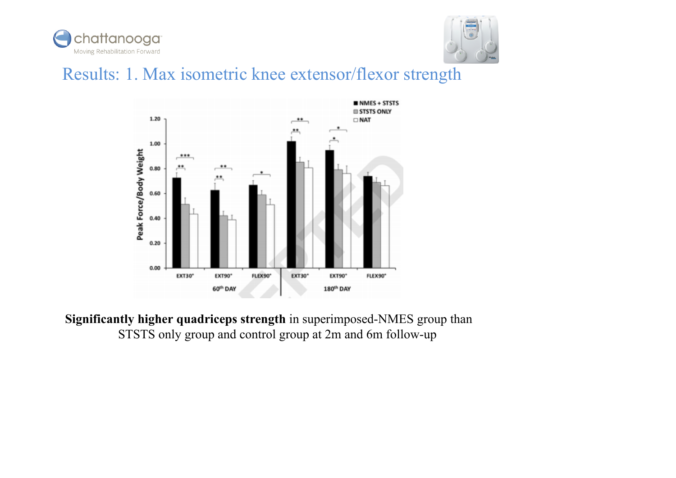



## Results: 1. Max isometric knee extensor/flexor strength



**Significantly higher quadriceps strength** in superimposed-NMES group than STSTS only group and control group at 2m and 6m follow-up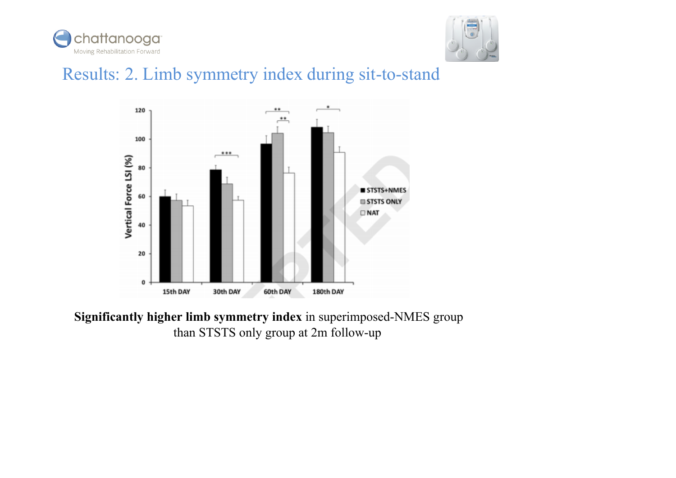



## Results: 2. Limb symmetry index during sit-to-stand



**Significantly higher limb symmetry index** in superimposed-NMES group than STSTS only group at 2m follow-up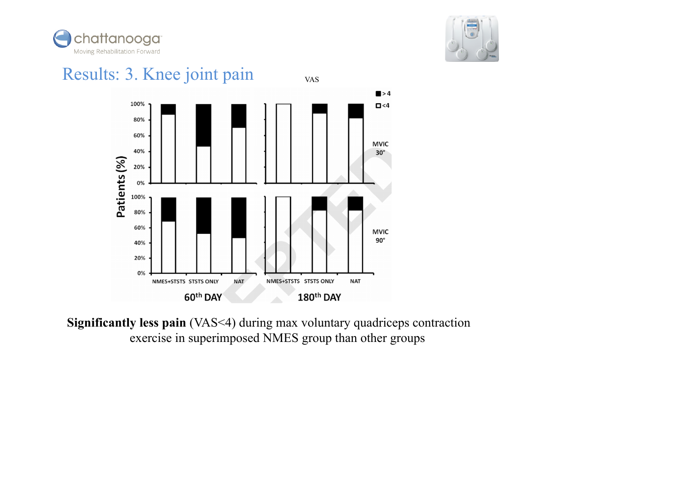



#### Results: 3. Knee joint pain VAS $\blacksquare$  > 4 100%  $\Box$  <4 80% 60% **MVIC** 40%  $30^\circ$ Patients (%) 20%  $0%$ 100% 80% 60% **MVIC**  $90^\circ$ 40% 20%  $0%$ NMES+STSTS STSTS ONLY **NAT** NMES+STSTS STSTS ONLY **NAT** 180<sup>th</sup> DAY 60<sup>th</sup> DAY

**Significantly less pain** (VAS<4) during max voluntary quadriceps contraction exercise in superimposed NMES group than other groups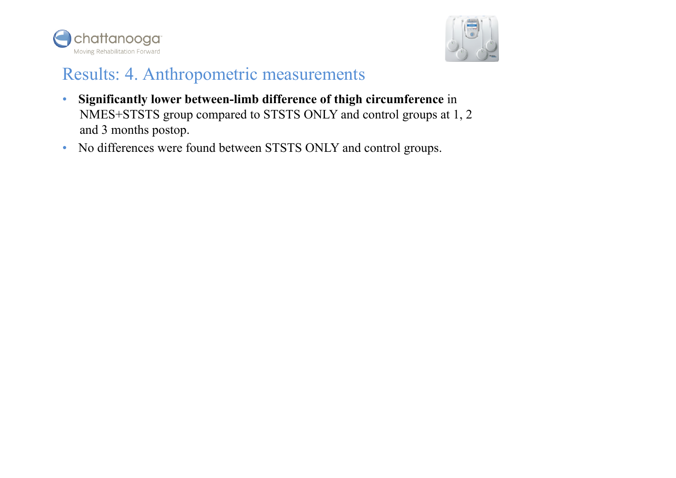



#### Results: 4. Anthropometric measurements

- **Significantly lower between-limb difference of thigh circumference** in NMES+STSTS group compared to STSTS ONLY and control groups at 1, 2 and 3 months postop.
- No differences were found between STSTS ONLY and control groups.